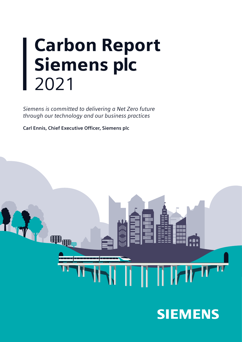# Carbon Report Siemens plc 2021

*Siemens is committed to delivering a Net Zero future through our technology and our business practices*

**Carl Ennis, Chief Executive Officer, Siemens plc**



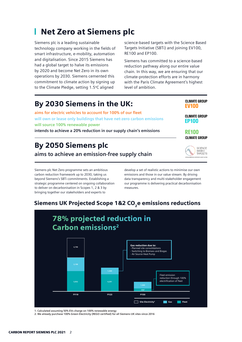#### Net Zero at Siemens plc г

Siemens plc is a leading sustainable technology company working in the fields of smart infrastructure, e-mobility, automation and digitalisation. Since 2015 Siemens has had a global target to halve its emissions by 2020 and become Net Zero in its own operations by 2030. Siemens cemented this commitment to climate action by signing up to the Climate Pledge, setting 1.5°C aligned

science-based targets with the Science Based Targets Initiative (SBTi) and joining EV100, RE100 and EP100.

Siemens has committed to a science-based reduction pathway along our entire value chain. In this way, we are ensuring that our climate-protection efforts are in harmony with the Paris Climate Agreement's highest level of ambition.

> **CLIMATE GROUP EV<sub>100</sub>**

**CLIMATE GROUP EP100** 

> SCIENCE **BASED** TARGETS

**RE100 CLIMATE GROUP** 

### By 2030 Siemens in the UK:

**aims for electric vehicles to account for 100% of our fleet will own or lease only buildings that have net-zero carbon emissions will source 100% renewable power** 

**intends to achieve a 20% reduction in our supply chain's emissions**

### By 2050 Siemens plc

**aims to achieve an emission-free supply chain**

Siemens plc Net Zero programme sets an ambitious carbon reduction framework up to 2030, taking us beyond Siemens's SBTi commitments. Establishing a strategic programme centered on ongoing collaboration to deliver on decarbonisation in Scopes 1, 2 & 3 by bringing together our stakeholders and experts to

develop a set of realistic actions to minimise our own emissions and those in our value stream. By driving data transparency and multi-stakeholder engagement our programme is delivering practical decarbonisation measures.

### Siemens UK Projected Scope 1&2 CO<sub>2</sub>e emissions reductions



**1. Calculated assuming 50% EVs charge on 100% renewable energy**

**2. We already purchase 100% Green Electricity (REGO certified) for all Siemens UK sites since 2016**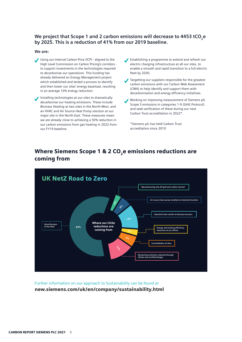### We project that Scope 1 and 2 carbon emissions will decrease to 4453 tCO<sub>3</sub>e **by 2025. This is a reduction of 41% from our 2019 baseline.**

#### **We are:**

- Using our Internal Carbon Price (ICP) aligned to the High Level Commission on Carbon Pricing's corridors to support investments in the technologies required to decarbonise our operations. This funding has already delivered an Energy Management project which established and tested a process to identify and then lower our sites' energy baseload, resulting in an average 10% energy reduction.
- Installing technologies at our sites to dramatically decarbonise our heating emissions. These include Biomass Heating at two sites in the North-West, and an HVAC and Air Source Heat Pump solution at our major site in the North-East. These measures mean we are already close to achieving a 50% reduction in our carbon emissions from gas heating in 2022 from our FY19 baseline.
- Establishing a programme to extend and refresh our electric charging infrastructure at all our sites, to enable a smooth and rapid transition to a full electric fleet by 2030.
- Targetting our suppliers responsible for the greatest carbon emissions with our Carbon Web Assessment (CWA) to help identify and support them with decarbonisation and energy efficiency initiatives.
- Working on improving measurement of Siemens plc Scope 3 emissions in categories 1-9 (GHG Protocol) and seek verification of these during our next Carbon Trust accreditation in 2022\*.

\*Siemens plc has held Carbon Trust accreditation since 2010

### Where Siemens Scope 1 & 2 CO<sub>2</sub>e emissions reductions are coming from



Further information on our approach to Sustainability can be found at new.siemens.com/uk/en/company/sustainability.html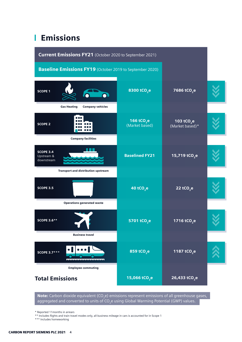## **L** Emissions

| Current Emissions FY21 (October 2020 to September 2021)         |                                          |                                                |  |
|-----------------------------------------------------------------|------------------------------------------|------------------------------------------------|--|
| <b>Baseline Emissions FY19</b> (October 2019 to September 2020) |                                          |                                                |  |
| <b>SCOPE 1</b>                                                  | 8300 tCO <sub>2</sub> e                  | 7686 tCO <sub>2</sub> e                        |  |
| <b>Company vehicles</b><br><b>Gas Heating</b>                   |                                          |                                                |  |
| <b>SCOPE 2</b>                                                  | 166 tCO <sub>2</sub> e<br>(Market based) | <b>103 tCO<sub>2</sub>e</b><br>(Market based)* |  |
| <b>Company facilities</b>                                       |                                          |                                                |  |
| <b>SCOPE 3.4</b><br>Upstream &<br>downstream                    | <b>Baselined FY21</b>                    | 15,719 tCO <sub>2</sub> e                      |  |
| <b>Transport and distribution upstream</b>                      |                                          |                                                |  |
| <b>SCOPE 3.5</b>                                                | 40 tCO <sub>2</sub> e                    | 22 tCO <sub>2</sub> e                          |  |
| <b>Operations generated waste</b>                               |                                          |                                                |  |
| $\blacktriangledown$<br><b>SCOPE 3.6**</b>                      | 5701 tCO <sub>2</sub> e                  | 1716 tCO <sub>2</sub> e                        |  |
| <b>Business travel</b>                                          |                                          |                                                |  |
| <b>SCOPE 3.7***</b>                                             | 859 tCO <sub>2</sub> e                   | 1187 tCO <sub>2</sub> e                        |  |
| <b>Employee commuting</b>                                       |                                          |                                                |  |
| <b>Total Emissions</b>                                          | 15,066 tCO <sub>2</sub> e                | 26,433 tCO <sub>2</sub> e                      |  |

**Note:** Carbon dioxide equivalent (CO<sub>2</sub>e) emissions represent emissions of all greenhouse gases, aggregated and converted to units of CO<sub>2</sub>e using Global Warming Potential (GWP) values.

\* Reported 11months in arrears

\*\* Includes flights and train travel modes only, all business mileage in cars is accounted for in Scope 1

\*\*\* Includes homeworking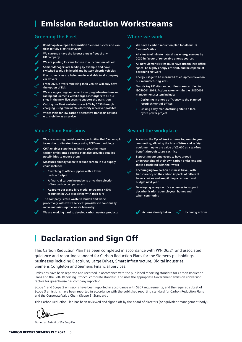### Emission Reduction Workstreams

### **Greening the Fleet**

- **Roadmap developed to transition Siemens plc car and van fleet to fully electric by 2030**
- **We currently have the largest plug in fleet of any UK company**
- **We are piloting EV vans for use in our commercial fleet**
- **Senior Managers are leading by example and have switched to plug-in hybrid and battery electric vehicles**
- **Electric vehicles are being made available to all company car drivers**
- **From 2026, drivers renewing their vehicle will only have the option of EVs**

**We are upgrading our current charging infrastructure and rolling out Siemens VersiCharge EV chargers to all our sites in the next five years to support the transition**

- **Cutting our fleet emissions over 90% by 2030 through charging using renewable electricity wherever possible**
- **Wider trials for low carbon alternative transport options** 
	- **e.g. mobility as a service**

### **Value Chain Emissions Beyond the workplace**

**We are assessing the risks and opportunities that Siemens plc faces due to climate change using TCFD methodology**

**CWA enables suppliers to learn about their own carbon emissions; a second step also provides detailed possibilities to reduce them**

- **Measures already taken to reduce carbon in our supply chain include:**
	- » **Switching to office supplies with a lower carbon footprint**
	- » **A financial carbon incentive to drive the selection of low carbon company cars**
	- » **Adapting our crane hire model to create a >80% reduction in CO2 associated with their hire**

**The company is zero waste to landfill and works proactively with waste services providers to continually move materials up the waste hierarchy**

**We are working hard to develop carbon neutral products**

#### **Where we work**

- **We have a carbon reduction plan for all our UK Siemens's sites**
- **All sites to eliminate natural gas energy sources by 2030 in favour of renewable energy sources**

**All new Siemens's sites must have streamlined office space, be highly energy efficient, and be capable of becoming Net Zero**

**Energy usage to be measured at equipment level on our manufacturing sites**

**Our six key UK sites and our fleets are certified to ISO50001:2018. Actions taken within the ISO50001 management system include:** 

- » **Designing in energy efficiency to the planned refurbishment of offices**
- » **Linking a key manufacturing site to a local hydro power project**

**Access to the Cycle2Work scheme to promote green commuting, allowing the hire of bikes and safety equipment up to the value of £2,000 as a tax-free benefit through salary sacrifice**

**Supporting our employees to have a good understanding of their own carbon emissions and those associated with their work**

**Encouraging low carbon business travel; with transparency on the carbon impacts of different travel choices and are piloting a carbon travel budget next year**

**Developing salary sacrifice schemes to support decarbonisation at employees' homes and when commuting**

**Actions already taken Actions** actions

### Declaration and Sign Off

This Carbon Reduction Plan has been completed in accordance with PPN 06/21 and associated guidance and reporting standard for Carbon Reduction Plans for the Siemens plc holdings businesses including Electrium, Large Drives, Smart Infrastructure, Digital industries, Siemens Congleton and Siemens Financial Services.

Emissions have been reported and recorded in accordance with the published reporting standard for Carbon Reduction Plans and the GHG Reporting Protocol corporate standard and uses the appropriate Government emission conversion factors for greenhouse gas company reporting .

Scope 1 and Scope 2 emissions have been reported in accordance with SECR requirements, and the required subset of Scope 3 emissions have been reported in accordance with the published reporting standard for Carbon Reduction Plans and the Corporate Value Chain (Scope 3) Standard .

This Carbon Reduction Plan has been reviewed and signed off by the board of directors (or equivalent management body).

*Signed on behalf of the Supplier*